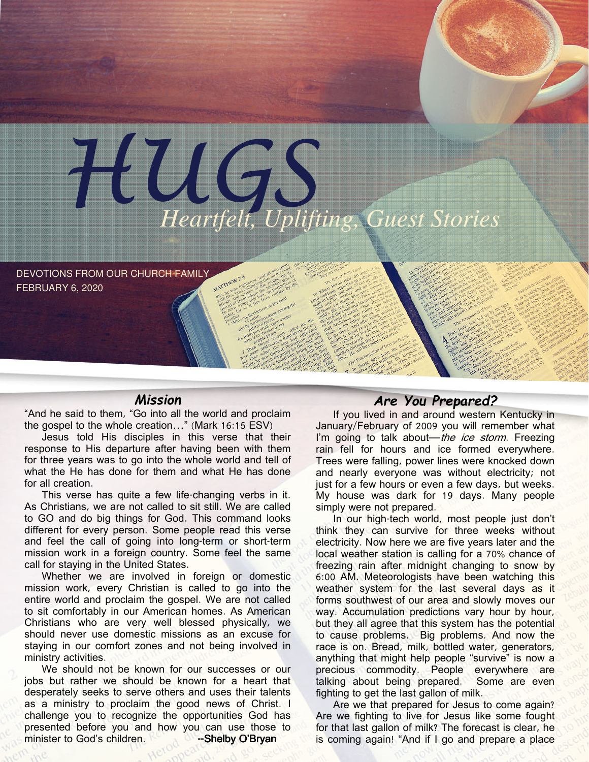

DEVOTIONS FROM OUR CHURCH FAMILY FEBRUARY 6, 2020

### Mission

"And he said to them, "Go into all the world and proclaim the gospel to the whole creation…" (Mark 16:15 ESV)

Jesus told His disciples in this verse that their response to His departure after having been with them for three years was to go into the whole world and tell of what the He has done for them and what He has done for all creation.

This verse has quite a few life-changing verbs in it. As Christians, we are not called to sit still. We are called to GO and do big things for God. This command looks different for every person. Some people read this verse and feel the call of going into long-term or short-term mission work in a foreign country. Some feel the same call for staying in the United States.

Whether we are involved in foreign or domestic mission work, every Christian is called to go into the entire world and proclaim the gospel. We are not called to sit comfortably in our American homes. As American Christians who are very well blessed physically, we should never use domestic missions as an excuse for staying in our comfort zones and not being involved in ministry activities.

We should not be known for our successes or our jobs but rather we should be known for a heart that desperately seeks to serve others and uses their talents as a ministry to proclaim the good news of Christ. I challenge you to recognize the opportunities God has presented before you and how you can use those to minister to God's children. --Shelby O'Bryan

## Are You Prepared?

If you lived in and around western Kentucky in January/February of 2009 you will remember what I'm going to talk about—the ice storm. Freezing rain fell for hours and ice formed everywhere. Trees were falling, power lines were knocked down and nearly everyone was without electricity; not just for a few hours or even a few days, but weeks. My house was dark for 19 days. Many people simply were not prepared.

In our high-tech world, most people just don't think they can survive for three weeks without electricity. Now here we are five years later and the local weather station is calling for a 70% chance of freezing rain after midnight changing to snow by 6:00 AM. Meteorologists have been watching this weather system for the last several days as it forms southwest of our area and slowly moves our way. Accumulation predictions vary hour by hour, but they all agree that this system has the potential to cause problems. Big problems. And now the race is on. Bread, milk, bottled water, generators, anything that might help people "survive" is now a precious commodity. People everywhere are talking about being prepared. Some are even fighting to get the last gallon of milk.

Are we that prepared for Jesus to come again? Are we fighting to live for Jesus like some fought for that last gallon of milk? The forecast is clear, he is coming again! "And if I go and prepare a place for you, I will come again and will take you to